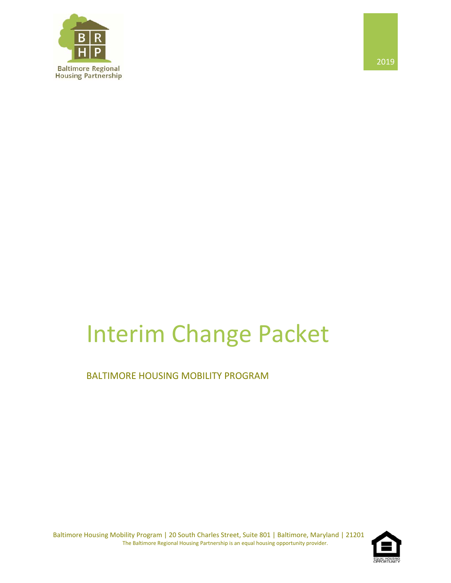

# Interim Change Packet

BALTIMORE HOUSING MOBILITY PROGRAM

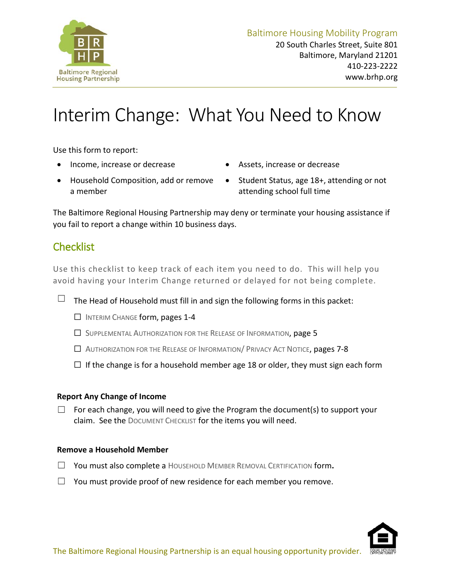

Baltimore Housing Mobility Program 20 South Charles Street, Suite 801 Baltimore, Maryland 21201 410-223-2222 www.brhp.org

# Interim Change: What You Need to Know

Use this form to report:

- Income, increase or decrease **•** Assets, increase or decrease
- Household Composition, add or remove a member
- 
- Student Status, age 18+, attending or not attending school full time

The Baltimore Regional Housing Partnership may deny or terminate your housing assistance if you fail to report a change within 10 business days.

# **Checklist**

Use this checklist to keep track of each item you need to do. This will help you avoid having your Interim Change returned or delayed for not being complete.

 $\Box$  The Head of Household must fill in and sign the following forms in this packet:

☐ INTERIM CHANGE form, pages 1-4

□ SUPPLEMENTAL AUTHORIZATION FOR THE RELEASE OF INFORMATION, page 5

☐ AUTHORIZATION FOR THE RELEASE OF INFORMATION/ PRIVACY ACT NOTICE, pages 7-8

 $\Box$  If the change is for a household member age 18 or older, they must sign each form

#### **Report Any Change of Income**

 $\Box$  For each change, you will need to give the Program the document(s) to support your claim. See the DOCUMENT CHECKLIST for the items you will need.

#### **Remove a Household Member**

- ☐ You must also complete a HOUSEHOLD MEMBER REMOVAL CERTIFICATION form**.**
- $\Box$  You must provide proof of new residence for each member you remove.

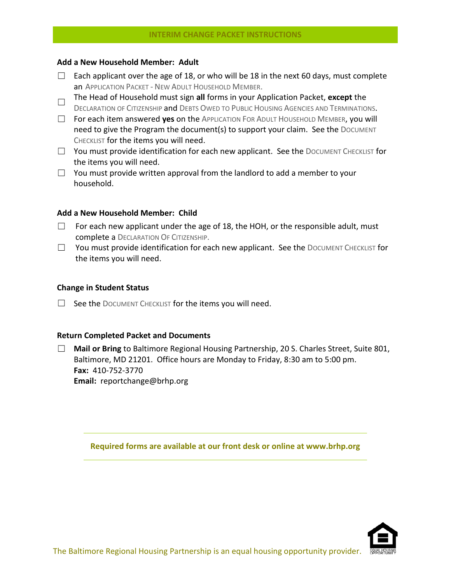#### **Add a New Household Member: Adult**

- $\Box$  Each applicant over the age of 18, or who will be 18 in the next 60 days, must complete an APPLICATION PACKET - NEW ADULT HOUSEHOLD MEMBER.
- ☐ The Head of Household must sign **all** forms in your Application Packet, **except** the DECLARATION OF CITIZENSHIP and DEBTS OWED TO PUBLIC HOUSING AGENCIES AND TERMINATIONS.
- ☐ For each item answered **yes** on the APPLICATION FOR ADULT HOUSEHOLD MEMBER, you will need to give the Program the document(s) to support your claim. See the DOCUMENT CHECKLIST for the items you will need.
- $\Box$  You must provide identification for each new applicant. See the DOCUMENT CHECKLIST for the items you will need.
- $\Box$  You must provide written approval from the landlord to add a member to your household.

#### **Add a New Household Member: Child**

- $\Box$  For each new applicant under the age of 18, the HOH, or the responsible adult, must complete a DECLARATION OF CITIZENSHIP.
- ☐ You must provide identification for each new applicant. See the DOCUMENT CHECKLIST for the items you will need.

#### **Change in Student Status**

☐ See the DOCUMENT CHECKLIST for the items you will need.

#### **Return Completed Packet and Documents**

☐ **Mail or Bring** to Baltimore Regional Housing Partnership, 20 S. Charles Street, Suite 801, Baltimore, MD 21201. Office hours are Monday to Friday, 8:30 am to 5:00 pm. **Fax:** 410-752-3770 **Email:** reportchange@brhp.org

**Required forms are available at our front desk or online at www.brhp.org**

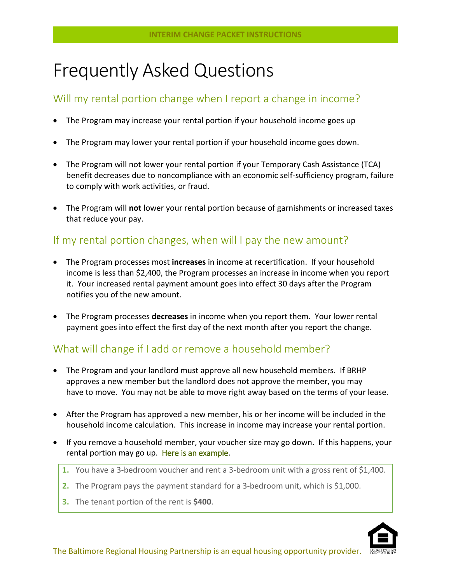# Frequently Asked Questions

### Will my rental portion change when I report a change in income?

- The Program may increase your rental portion if your household income goes up
- The Program may lower your rental portion if your household income goes down.
- The Program will not lower your rental portion if your Temporary Cash Assistance (TCA) benefit decreases due to noncompliance with an economic self-sufficiency program, failure to comply with work activities, or fraud.
- The Program will **not** lower your rental portion because of garnishments or increased taxes that reduce your pay.

## If my rental portion changes, when will I pay the new amount?

- The Program processes most **increases** in income at recertification. If your household income is less than \$2,400, the Program processes an increase in income when you report it. Your increased rental payment amount goes into effect 30 days after the Program notifies you of the new amount.
- The Program processes **decreases** in income when you report them. Your lower rental payment goes into effect the first day of the next month after you report the change.

# What will change if I add or remove a household member?

- The Program and your landlord must approve all new household members. If BRHP approves a new member but the landlord does not approve the member, you may have to move. You may not be able to move right away based on the terms of your lease.
- After the Program has approved a new member, his or her income will be included in the household income calculation. This increase in income may increase your rental portion.
- If you remove a household member, your voucher size may go down. If this happens, your rental portion may go up. Here is an example.
	- **1.** You have a 3-bedroom voucher and rent a 3-bedroom unit with a gross rent of \$1,400.
	- **2.** The Program pays the payment standard for a 3-bedroom unit, which is \$1,000.
	- **3.** The tenant portion of the rent is **\$400**.

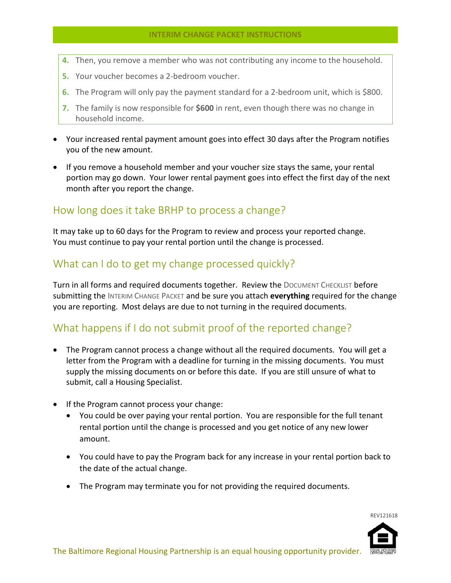- **4.** Then, you remove a member who was not contributing any income to the household.
- **5.** Your voucher becomes a 2-bedroom voucher.
- **6.** The Program will only pay the payment standard for a 2-bedroom unit, which is \$800.
- **7.** The family is now responsible for **\$600** in rent, even though there was no change in household income.
- Your increased rental payment amount goes into effect 30 days after the Program notifies you of the new amount.
- If you remove a household member and your voucher size stays the same, your rental portion may go down. Your lower rental payment goes into effect the first day of the next month after you report the change.

#### How long does it take BRHP to process a change?

It may take up to 60 days for the Program to review and process your reported change. You must continue to pay your rental portion until the change is processed.

#### What can I do to get my change processed quickly?

Turn in all forms and required documents together. Review the DOCUMENT CHECKLIST before submitting the INTERIM CHANGE PACKET and be sure you attach **everything** required for the change you are reporting. Most delays are due to not turning in the required documents.

### What happens if I do not submit proof of the reported change?

- The Program cannot process a change without all the required documents. You will get a letter from the Program with a deadline for turning in the missing documents. You must supply the missing documents on or before this date. If you are still unsure of what to submit, call a Housing Specialist.
- If the Program cannot process your change:
	- You could be over paying your rental portion. You are responsible for the full tenant rental portion until the change is processed and you get notice of any new lower amount.
	- You could have to pay the Program back for any increase in your rental portion back to the date of the actual change.
	- The Program may terminate you for not providing the required documents.

REV121618

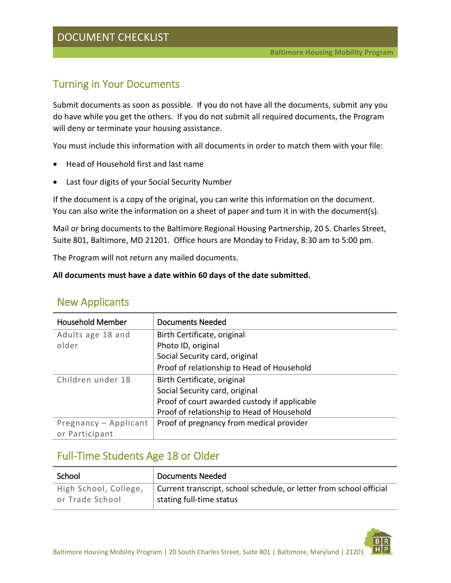### DOCUMENT CHECKLIST

#### Turning in Your Documents

Submit documents as soon as possible. If you do not have all the documents, submit any you do have while you get the others. If you do not submit all required documents, the Program will deny or terminate your housing assistance.

You must include this information with all documents in order to match them with your file:

- Head of Household first and last name
- Last four digits of your Social Security Number

If the document is a copy of the original, you can write this information on the document. You can also write the information on a sheet of paper and turn it in with the document(s).

Mail or bring documents to the Baltimore Regional Housing Partnership, 20 S. Charles Street, Suite 801, Baltimore, MD 21201. Office hours are Monday to Friday, 8:30 am to 5:00 pm.

The Program will not return any mailed documents.

**All documents must have a date within 60 days of the date submitted.**

| <b>Household Member</b> | Documents Needed                             |
|-------------------------|----------------------------------------------|
| Adults age 18 and       | Birth Certificate, original                  |
| older                   | Photo ID, original                           |
|                         | Social Security card, original               |
|                         | Proof of relationship to Head of Household   |
| Children under 18       | Birth Certificate, original                  |
|                         | Social Security card, original               |
|                         | Proof of court awarded custody if applicable |
|                         | Proof of relationship to Head of Household   |
| Pregnancy - Applicant   | Proof of pregnancy from medical provider     |
| or Participant          |                                              |

#### New Applicants

#### Full-Time Students Age 18 or Older

| School                | <b>Documents Needed</b>                                             |
|-----------------------|---------------------------------------------------------------------|
| High School, College, | Current transcript, school schedule, or letter from school official |
| or Trade School       | stating full-time status                                            |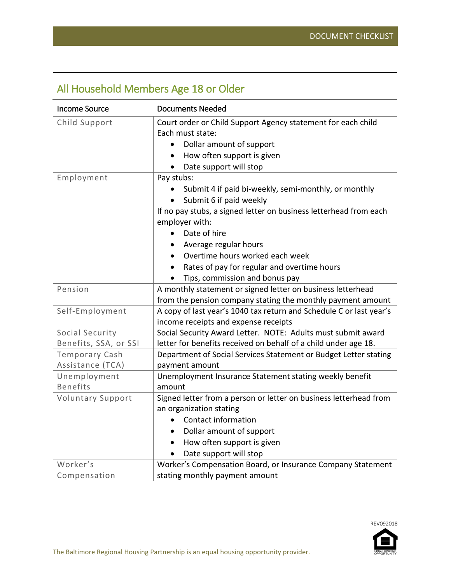| <b>Income Source</b>     | <b>Documents Needed</b>                                                             |
|--------------------------|-------------------------------------------------------------------------------------|
| Child Support            | Court order or Child Support Agency statement for each child                        |
|                          | Each must state:                                                                    |
|                          | Dollar amount of support                                                            |
|                          | How often support is given                                                          |
|                          | Date support will stop                                                              |
| Employment               | Pay stubs:                                                                          |
|                          | Submit 4 if paid bi-weekly, semi-monthly, or monthly                                |
|                          | Submit 6 if paid weekly                                                             |
|                          | If no pay stubs, a signed letter on business letterhead from each<br>employer with: |
|                          | Date of hire<br>$\bullet$                                                           |
|                          | Average regular hours<br>$\bullet$                                                  |
|                          | Overtime hours worked each week<br>$\bullet$                                        |
|                          | Rates of pay for regular and overtime hours                                         |
|                          | Tips, commission and bonus pay                                                      |
| Pension                  | A monthly statement or signed letter on business letterhead                         |
|                          | from the pension company stating the monthly payment amount                         |
| Self-Employment          | A copy of last year's 1040 tax return and Schedule C or last year's                 |
|                          | income receipts and expense receipts                                                |
| Social Security          | Social Security Award Letter. NOTE: Adults must submit award                        |
| Benefits, SSA, or SSI    | letter for benefits received on behalf of a child under age 18.                     |
| Temporary Cash           | Department of Social Services Statement or Budget Letter stating                    |
| Assistance (TCA)         | payment amount                                                                      |
| Unemployment             | Unemployment Insurance Statement stating weekly benefit                             |
| <b>Benefits</b>          | amount                                                                              |
| <b>Voluntary Support</b> | Signed letter from a person or letter on business letterhead from                   |
|                          | an organization stating                                                             |
|                          | <b>Contact information</b>                                                          |
|                          | Dollar amount of support                                                            |
|                          | How often support is given                                                          |
|                          | Date support will stop                                                              |
| Worker's                 | Worker's Compensation Board, or Insurance Company Statement                         |
| Compensation             | stating monthly payment amount                                                      |

# All Household Members Age 18 or Older

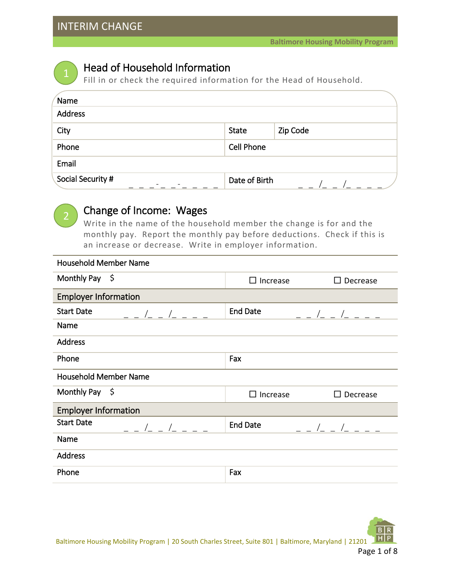

## Head of Household Information

Fill in or check the required information for the Head of Household.

| Name              |               |          |
|-------------------|---------------|----------|
| <b>Address</b>    |               |          |
| City              | <b>State</b>  | Zip Code |
| Phone             | Cell Phone    |          |
| Email             |               |          |
| Social Security # | Date of Birth |          |



### Change of Income: Wages

Write in the name of the household member the change is for and the monthly pay. Report the monthly pay before deductions. Check if this is an increase or decrease. Write in employer information.

| <b>Household Member Name</b>          |                 |                   |
|---------------------------------------|-----------------|-------------------|
| Monthly Pay $\oint$                   | $\Box$ Increase | $\Box$ Decrease   |
| <b>Employer Information</b>           |                 |                   |
| <b>Start Date</b><br>$  /$ $ /$ $  -$ | <b>End Date</b> | $  /$ $ /$ $  -$  |
| <b>Name</b>                           |                 |                   |
| <b>Address</b>                        |                 |                   |
| Phone                                 | Fax             |                   |
| <b>Household Member Name</b>          |                 |                   |
| Monthly Pay $\oint$                   | $\Box$ Increase | Decrease          |
| <b>Employer Information</b>           |                 |                   |
| <b>Start Date</b><br>$  /$ $ /$ $  -$ | <b>End Date</b> | $  /$ $  /$ $  -$ |
| Name                                  |                 |                   |
| <b>Address</b>                        |                 |                   |
| Phone                                 | Fax             |                   |

 $B|R$  $H$  $P$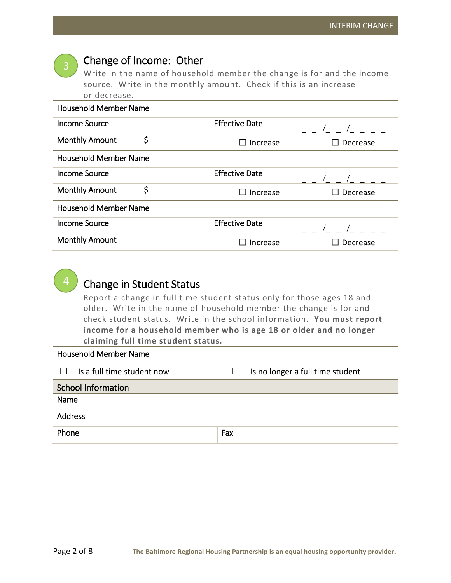

## Change of Income: Other

Write in the name of household member the change is for and the income source. Write in the monthly amount. Check if this is an increase or decrease.

| <b>Household Member Name</b> |                       |                   |  |  |
|------------------------------|-----------------------|-------------------|--|--|
| Income Source                | <b>Effective Date</b> | _ _ /_ _ /_ _ _ _ |  |  |
| \$<br><b>Monthly Amount</b>  | Increase              | Decrease          |  |  |
| <b>Household Member Name</b> |                       |                   |  |  |
| <b>Income Source</b>         | <b>Effective Date</b> | _ _ /_ _ /_ _ _ _ |  |  |
| \$<br><b>Monthly Amount</b>  | Increase              | Decrease          |  |  |
| <b>Household Member Name</b> |                       |                   |  |  |
| <b>Income Source</b>         | <b>Effective Date</b> | $  /$ $ /$ $  -$  |  |  |
| <b>Monthly Amount</b>        | Increase              | Decrease          |  |  |



#### Change in Student Status

Report a change in full time student status only for those ages 18 and older. Write in the name of household member the change is for and check student status. Write in the school information. **You must report income for a household member who is age 18 or older and no longer claiming full time student status.**

#### Household Member Name

☐ Is a full time student now ☐ Is no longer a full time student

# School Information Name **Address** Phone Fax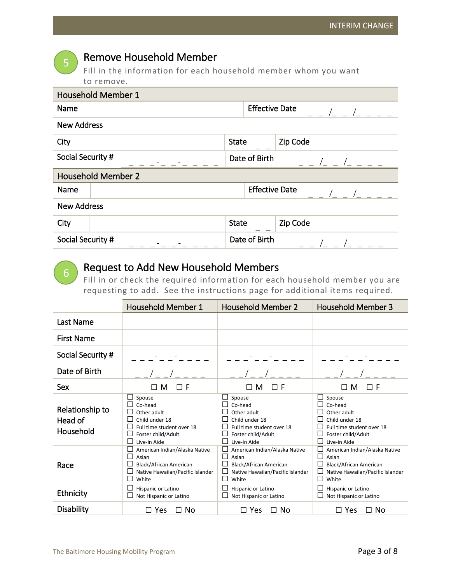

6

## Remove Household Member

Fill in the information for each household member whom you want to remove.

| <b>Household Member 1</b> |              |                                            |                                                                                                   |
|---------------------------|--------------|--------------------------------------------|---------------------------------------------------------------------------------------------------|
| Name                      |              | <b>Effective Date</b><br>$  /$ $  /$ $  -$ |                                                                                                   |
| <b>New Address</b>        |              |                                            |                                                                                                   |
| City                      | <b>State</b> |                                            | Zip Code                                                                                          |
| Social Security #         |              | Date of Birth<br>$  /$ $ /$ $  -$          |                                                                                                   |
| <b>Household Member 2</b> |              |                                            |                                                                                                   |
| Name                      |              | <b>Effective Date</b>                      | $\frac{1}{2}$ $\frac{1}{2}$ $\frac{1}{2}$ $\frac{1}{2}$ $\frac{1}{2}$ $\frac{1}{2}$ $\frac{1}{2}$ |
| <b>New Address</b>        |              |                                            |                                                                                                   |
| City                      | <b>State</b> |                                            | Zip Code                                                                                          |
| Social Security #         |              | Date of Birth                              | _ _ /_ _ /_ _ _ _                                                                                 |

#### Request to Add New Household Members

Fill in or check the required information for each household member you are requesting to add. See the instructions page for additional items required.

|                                         | <b>Household Member 1</b>                                                                                                                                  | <b>Household Member 2</b>                                                                                                                                        | <b>Household Member 3</b>                                                                                                       |
|-----------------------------------------|------------------------------------------------------------------------------------------------------------------------------------------------------------|------------------------------------------------------------------------------------------------------------------------------------------------------------------|---------------------------------------------------------------------------------------------------------------------------------|
| Last Name                               |                                                                                                                                                            |                                                                                                                                                                  |                                                                                                                                 |
| <b>First Name</b>                       |                                                                                                                                                            |                                                                                                                                                                  |                                                                                                                                 |
| Social Security #                       |                                                                                                                                                            |                                                                                                                                                                  |                                                                                                                                 |
| Date of Birth                           |                                                                                                                                                            |                                                                                                                                                                  |                                                                                                                                 |
| Sex                                     | $\sqcap$ F<br>M<br>П                                                                                                                                       | M<br>ΠF<br>П                                                                                                                                                     | ΠF<br>M<br>$\mathsf{L}$                                                                                                         |
| Relationship to<br>Head of<br>Household | Spouse<br>Co-head<br>Other adult<br>Child under 18<br>$\Box$<br>Full time student over 18<br>Foster child/Adult<br>$\mathbf{1}$<br>Live-in Aide<br>$\perp$ | Spouse<br>ப<br>Co-head<br>Other adult<br>Child under 18<br>$\perp$<br>Full time student over 18<br>$\perp$<br>Foster child/Adult<br>$\perp$<br>П<br>Live-in Aide | Spouse<br>ப<br>Co-head<br>Other adult<br>Child under 18<br>Full time student over 18<br>Foster child/Adult<br>П<br>Live-in Aide |
| Race                                    | American Indian/Alaska Native<br>П<br>Asian<br>Black/African American<br>Native Hawaiian/Pacific Islander<br>П<br>White                                    | American Indian/Alaska Native<br>П<br>Asian<br>$\perp$<br>Black/African American<br>⊔<br>Native Hawaiian/Pacific Islander<br>П<br>White                          | American Indian/Alaska Native<br>П<br>Asian<br>Black/African American<br>Native Hawaiian/Pacific Islander<br>П<br>White         |
| Ethnicity                               | Hispanic or Latino<br>ப<br>Not Hispanic or Latino                                                                                                          | Hispanic or Latino<br>⊔<br>Not Hispanic or Latino                                                                                                                | Hispanic or Latino<br>Not Hispanic or Latino                                                                                    |
| Disability                              | $\Box$ No<br>$\Box$ Yes                                                                                                                                    | $\Box$ Yes<br>□ No                                                                                                                                               | $\Box$ No<br>$\Box$ Yes                                                                                                         |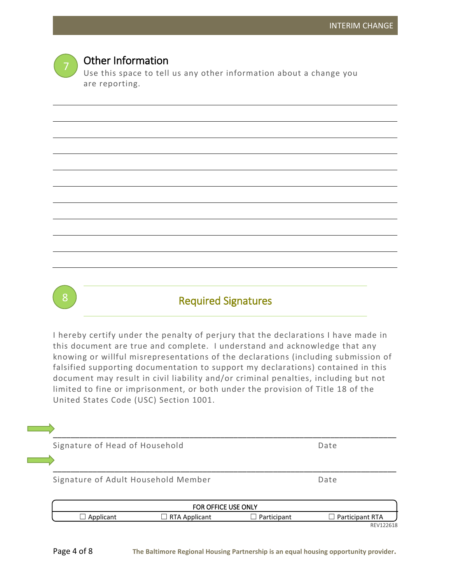Other Information Use this space to tell us any other information about a change you are reporting.

# 8

### Required Signatures

I hereby certify under the penalty of perjury that the declarations I have made in this document are true and complete. I understand and acknowledge that any knowing or willful misrepresentations of the declarations (including submission of falsified supporting documentation to support my declarations) contained in this document may result in civil liability and/or criminal penalties, including but not limited to fine or imprisonment, or both under the provision of Title 18 of the United States Code (USC) Section 1001.

| Signature of Head of Household      |                     | Date |
|-------------------------------------|---------------------|------|
|                                     |                     |      |
| Signature of Adult Household Member |                     | Date |
|                                     |                     |      |
|                                     | FOR OFFICE USE ONLY |      |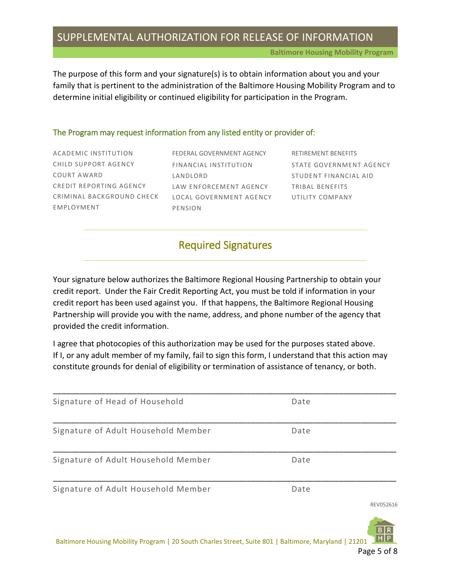#### SUPPLEMENTAL AUTHORIZATION FOR RELEASE OF INFORMATION

**Baltimore Housing Mobility Program**

The purpose of this form and your signature(s) is to obtain information about you and your family that is pertinent to the administration of the Baltimore Housing Mobility Program and to determine initial eligibility or continued eligibility for participation in the Program.

#### The Program may request information from any listed entity or provider of:

ACADEMIC INSTITUTION CHILD SUPPORT AGENCY COURT AWARD CREDIT REPORTING AGENCY CRIMINAL BACKGROUND CHECK EMPLOYMENT

FEDERAL GOVERNMENT AGENCY FINANCIAL INSTITUTION LANDLORD LAW ENFORCEMENT AGENCY LOCAL GOVERNMENT AGENCY PENSION

RETIREMENT BENEFITS STATE GOVERNMENT AGENCY STUDENT FINANCIAL AID TRIBAL BENEFITS UTILITY COMPANY

### Required Signatures

Your signature below authorizes the Baltimore Regional Housing Partnership to obtain your credit report. Under the Fair Credit Reporting Act, you must be told if information in your credit report has been used against you. If that happens, the Baltimore Regional Housing Partnership will provide you with the name, address, and phone number of the agency that provided the credit information.

I agree that photocopies of this authorization may be used for the purposes stated above. If I, or any adult member of my family, fail to sign this form, I understand that this action may constitute grounds for denial of eligibility or termination of assistance of tenancy, or both.

| Signature of Head of Household      | Date |           |
|-------------------------------------|------|-----------|
| Signature of Adult Household Member | Date |           |
| Signature of Adult Household Member | Date |           |
| Signature of Adult Household Member | Date |           |
|                                     |      | REV052616 |

 $B|R$  $H$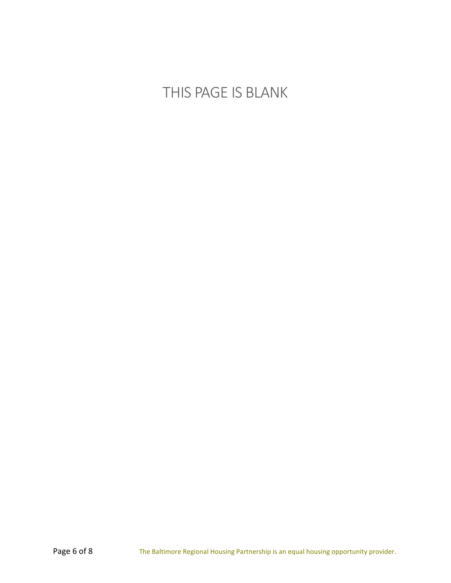# THIS PAGE IS BLANK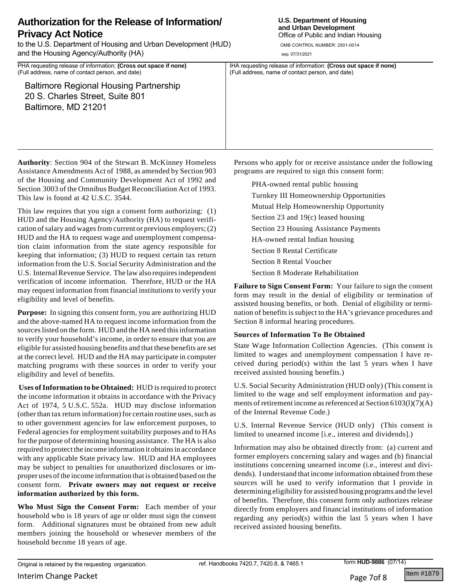**Privacy Act Notice** to the U.S. Department of Housing and Urban Development (HUD) OMB CONTROL NUMBER: 2501-0014 and the Housing Agency/Authority (HA) exp. 07/31/2021

**Authorization for the Release of Information/**

PHA requesting release of information; **(Cross out space if none)** IHA requesting release of information: **(Cross out space if none)**

Baltimore Regional Housing Partnership 20 S. Charles Street, Suite 801 Baltimore, MD 21201

#### **U.S. Department of Housing and Urban Development** Office of Public and Indian Housing

(Full address, name of contact person, and date) (Full address, name of contact person, and date)

**Authority**: Section 904 of the Stewart B. McKinney Homeless Assistance Amendments Act of 1988, as amended by Section 903 of the Housing and Community Development Act of 1992 and Section 3003 of the Omnibus Budget Reconciliation Act of 1993. This law is found at 42 U.S.C. 3544.

This law requires that you sign a consent form authorizing: (1) HUD and the Housing Agency/Authority (HA) to request verification of salary and wages from current or previous employers; (2) HUD and the HA to request wage and unemployment compensation claim information from the state agency responsible for keeping that information; (3) HUD to request certain tax return information from the U.S. Social Security Administration and the U.S. Internal Revenue Service. The law also requires independent verification of income information. Therefore, HUD or the HA may request information from financial institutions to verify your eligibility and level of benefits.

**Purpose:** In signing this consent form, you are authorizing HUD and the above-named HA to request income information from the sources listed on the form. HUD and the HA need this information to verify your household's income, in order to ensure that you are eligible for assisted housing benefits and that these benefits are set at the correct level. HUD and the HA may participate in computer matching programs with these sources in order to verify your eligibility and level of benefits.

**Uses of Information to be Obtained:** HUD is required to protect the income information it obtains in accordance with the Privacy Act of 1974, 5 U.S.C. 552a. HUD may disclose information (other than tax return information) for certain routine uses, such as to other government agencies for law enforcement purposes, to Federal agencies for employment suitability purposes and to HAs for the purpose of determining housing assistance. The HA is also required to protect the income information it obtains in accordance with any applicable State privacy law. HUD and HA employees may be subject to penalties for unauthorized disclosures or improper uses of the income information that is obtained based on the consent form. **Private owners may not request or receive information authorized by this form.**

**Who Must Sign the Consent Form:** Each member of your household who is 18 years of age or older must sign the consent form. Additional signatures must be obtained from new adult members joining the household or whenever members of the household become 18 years of age.

Persons who apply for or receive assistance under the following programs are required to sign this consent form:

PHA-owned rental public housing Turnkey III Homeownership Opportunities Mutual Help Homeownership Opportunity Section 23 and 19(c) leased housing Section 23 Housing Assistance Payments HA-owned rental Indian housing Section 8 Rental Certificate Section 8 Rental Voucher Section 8 Moderate Rehabilitation

**Failure to Sign Consent Form:** Your failure to sign the consent form may result in the denial of eligibility or termination of assisted housing benefits, or both. Denial of eligibility or termination of benefits is subject to the HA's grievance procedures and Section 8 informal hearing procedures.

#### **Sources of Information To Be Obtained**

State Wage Information Collection Agencies. (This consent is limited to wages and unemployment compensation I have received during period(s) within the last 5 years when I have received assisted housing benefits.)

U.S. Social Security Administration (HUD only) (This consent is limited to the wage and self employment information and payments of retirement income as referenced at Section 6103(l)(7)(A) of the Internal Revenue Code.)

U.S. Internal Revenue Service (HUD only) (This consent is limited to unearned income [i.e., interest and dividends].)

Information may also be obtained directly from: (a) current and former employers concerning salary and wages and (b) financial institutions concerning unearned income (i.e., interest and dividends). I understand that income information obtained from these sources will be used to verify information that I provide in determining eligibility for assisted housing programs and the level of benefits. Therefore, this consent form only authorizes release directly from employers and financial institutions of information regarding any period(s) within the last 5 years when I have received assisted housing benefits.